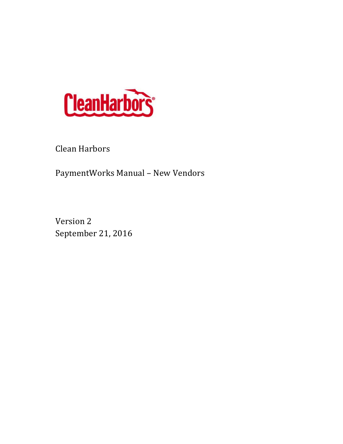

Clean Harbors

PaymentWorks Manual - New Vendors

Version 2 September 21, 2016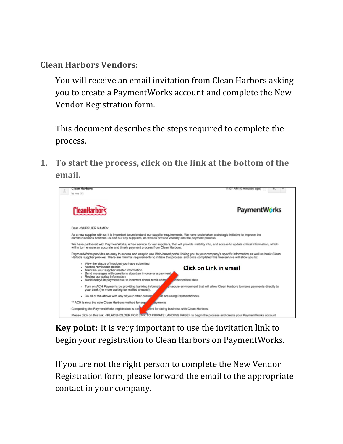**Clean Harbors Vendors:** 

You will receive an email invitation from Clean Harbors asking you to create a PaymentWorks account and complete the New Vendor Registration form.

This document describes the steps required to complete the process.

**1.** To start the process, click on the link at the bottom of the email.



**Key point:** It is very important to use the invitation link to begin your registration to Clean Harbors on PaymentWorks.

If you are not the right person to complete the New Vendor Registration form, please forward the email to the appropriate contact in your company.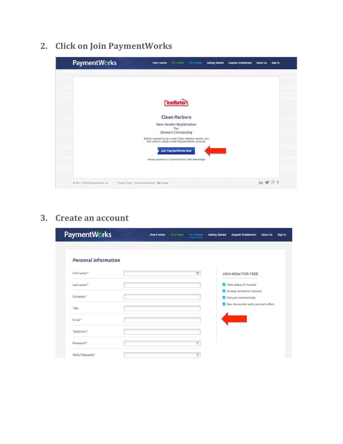# **2. Click on Join PaymentWorks**

| <b>PaymentWorks</b>              | How it works<br>I'm a Payer<br>I'm a Payee<br><b>Getting Started</b>                                       | <b>Supplier Enablement</b><br><b>About Us</b><br>Sign In |
|----------------------------------|------------------------------------------------------------------------------------------------------------|----------------------------------------------------------|
|                                  |                                                                                                            |                                                          |
|                                  |                                                                                                            |                                                          |
|                                  |                                                                                                            |                                                          |
|                                  | <b>CleanHarbors</b>                                                                                        |                                                          |
|                                  | <b>Clean Harbors</b>                                                                                       |                                                          |
|                                  | New Vendor Registration                                                                                    |                                                          |
|                                  | for<br><b>Stewart Contracting</b>                                                                          |                                                          |
|                                  | Before registering as a new Clean Harbors vendor, you<br>first need to create a free PaymentWorks account. |                                                          |
|                                  | <b>Join PaymentWorks Now</b>                                                                               |                                                          |
|                                  | Already registered on PaymentWorks? Click here to login                                                    |                                                          |
|                                  |                                                                                                            |                                                          |
| C 2014 - 2016 PaymentWorks, Inc. | Privacy Policy   Terms & Conditions   83 Contact                                                           | in $\mathbf{y}$ $8+f$                                    |

### **3. Create an account**

| <b>PaymentWorks</b>         | I'm a Payer<br>How it works | I'm a Payee    | <b>Getting Started</b> | <b>Supplier Enablement</b>                           | <b>About Us</b> | Sign In |
|-----------------------------|-----------------------------|----------------|------------------------|------------------------------------------------------|-----------------|---------|
| <b>Personal information</b> |                             |                |                        |                                                      |                 |         |
| First name:*                |                             | 田              |                        | JOIN NOW FOR FREE                                    |                 |         |
| Last name:*                 |                             |                |                        | View status of invoices                              |                 |         |
| Company:"                   |                             |                |                        | Access remittance advices<br>Get paid electronically |                 |         |
| Title:                      |                             |                |                        | See discounted early payment offers                  |                 |         |
| Email:*                     |                             |                |                        |                                                      |                 |         |
| Telephone:*                 |                             |                |                        |                                                      |                 |         |
| Password:*                  |                             | $\circledcirc$ |                        |                                                      |                 |         |
| Verify Password:*           |                             | $\circledcirc$ |                        |                                                      |                 |         |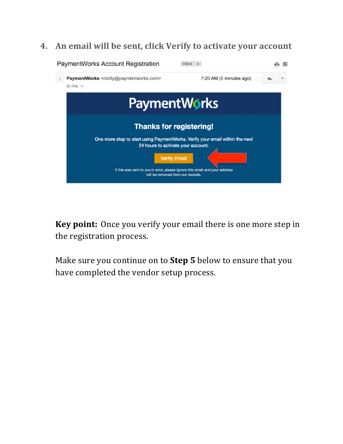### **4.** An email will be sent, click Verify to activate your account



**Key point:** Once you verify your email there is one more step in the registration process.

Make sure you continue on to **Step 5** below to ensure that you have completed the vendor setup process.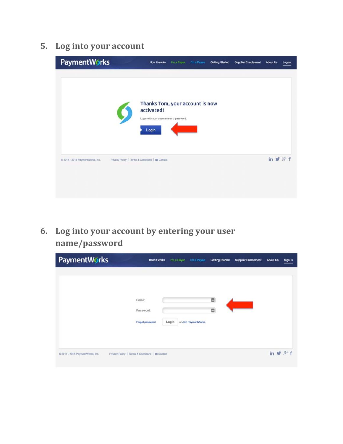## **5.** Log into your account

| <b>PaymentWorks</b>              | How it works                                                                                     | I'm a Payer | I'm a Payee | <b>Getting Started</b> | <b>Supplier Enablement</b> | <b>About Us</b>          | Logout |
|----------------------------------|--------------------------------------------------------------------------------------------------|-------------|-------------|------------------------|----------------------------|--------------------------|--------|
|                                  | Thanks Tom, your account is now<br>activated!<br>Login with your username and password.<br>Login |             |             |                        |                            |                          |        |
| C 2014 - 2016 PaymentWorks, Inc. | Privacy Policy   Terms & Conditions   El Contact                                                 |             |             |                        |                            | in $\mathcal{Y}$ $8^+$ f |        |

6. Log into your account by entering your user **name/password**

| PaymentWorks                     | How it works                                     |       | I'm a Payer<br>I'm a Payee | <b>Getting Started</b> | <b>Supplier Enablement</b> | <b>About Us</b>                  | Sign In |
|----------------------------------|--------------------------------------------------|-------|----------------------------|------------------------|----------------------------|----------------------------------|---------|
|                                  |                                                  |       |                            |                        |                            |                                  |         |
|                                  |                                                  |       |                            |                        |                            |                                  |         |
|                                  | Email:                                           |       |                            | ▦                      |                            |                                  |         |
|                                  | Password:                                        |       |                            | 圜                      |                            |                                  |         |
|                                  | Forgot password                                  | Login | or Join PaymentWorks       |                        |                            |                                  |         |
|                                  |                                                  |       |                            |                        |                            |                                  |         |
|                                  |                                                  |       |                            |                        |                            |                                  |         |
| © 2014 - 2016 PaymentWorks, Inc. | Privacy Policy   Terms & Conditions   BE Contact |       |                            |                        |                            | in $\blacktriangleright$ $8^+$ f |         |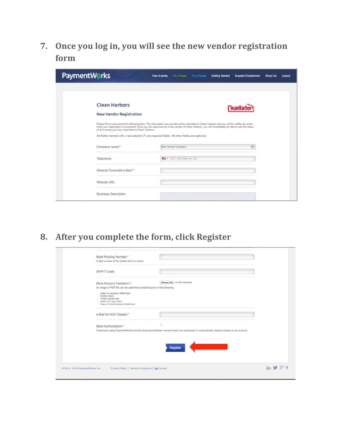**7.** Once you log in, you will see the new vendor registration **form**

| <b>PaymentWorks</b>                                  | <b>How it works</b><br>I'm a Payer<br>Tm a Payee                                                                                                                                                                                                                                              | <b>Supplier Enablement</b><br><b>Gotting Started</b> | <b>About Us</b><br>Logout |
|------------------------------------------------------|-----------------------------------------------------------------------------------------------------------------------------------------------------------------------------------------------------------------------------------------------------------------------------------------------|------------------------------------------------------|---------------------------|
|                                                      |                                                                                                                                                                                                                                                                                               |                                                      |                           |
| <b>Clean Harbors</b>                                 |                                                                                                                                                                                                                                                                                               |                                                      |                           |
| <b>New Vendor Registration</b>                       |                                                                                                                                                                                                                                                                                               |                                                      |                           |
| of all invoices you have submitted to Clean Harbors. | Please fill out and submit the following form. The information you provide will be submitted to Clean Harbors and you will be notified by email<br>when your application is processed. Once you are approved as a new vendor of Clean Harbors, you will immediately be able to see the status |                                                      |                           |
|                                                      | All fields marked with a red asterisk (*) are required fields. All other fields are optional.                                                                                                                                                                                                 |                                                      |                           |
| Company name:"                                       | New Vendor Company                                                                                                                                                                                                                                                                            | 围                                                    |                           |
| Telephone:                                           | ## + (201) 555-5555 ext 123                                                                                                                                                                                                                                                                   |                                                      |                           |
| General Corporate e-Mail:*                           |                                                                                                                                                                                                                                                                                               |                                                      |                           |
| Website URL:                                         |                                                                                                                                                                                                                                                                                               |                                                      |                           |
| Business Description:                                |                                                                                                                                                                                                                                                                                               |                                                      |                           |

**8.** After you complete the form, click Register

| SWIFT Code:                                                                                                                                                                                                          |                                                                                                                                           |  |
|----------------------------------------------------------------------------------------------------------------------------------------------------------------------------------------------------------------------|-------------------------------------------------------------------------------------------------------------------------------------------|--|
| Bank Account Validation.*                                                                                                                                                                                            | Choose File no file selected                                                                                                              |  |
| An image or PDF file can be used here containing one of the following:<br>> Letter on company letterhead<br>- Voided check<br>- Voided deposit sitp<br>- Letter from your bank<br>- Copy of a bank account statement |                                                                                                                                           |  |
| e-Mail for ACH Details:*                                                                                                                                                                                             |                                                                                                                                           |  |
| Bank Authorization:*                                                                                                                                                                                                 | G<br>Customers using PaymentWorks and the financial institution named herein are authorized to automatically deposit monies to my account |  |
|                                                                                                                                                                                                                      | Registe                                                                                                                                   |  |
|                                                                                                                                                                                                                      |                                                                                                                                           |  |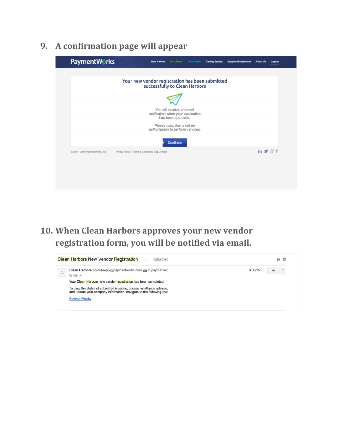**9. A confirmation page will appear**

| Your new vendor registration has been submitted<br>successfully to Clean Harbors<br>You will receive an email<br>notification when your application<br>has been approved.<br>Please note, this is not an<br>authorization to perform services. |                   |          |
|------------------------------------------------------------------------------------------------------------------------------------------------------------------------------------------------------------------------------------------------|-------------------|----------|
|                                                                                                                                                                                                                                                |                   |          |
|                                                                                                                                                                                                                                                |                   |          |
|                                                                                                                                                                                                                                                |                   |          |
|                                                                                                                                                                                                                                                |                   |          |
|                                                                                                                                                                                                                                                |                   |          |
|                                                                                                                                                                                                                                                |                   | Continue |
| Privacy Policy   Terms & Conditions   EE Contact<br>@ 2014 - 2016 PaymentWorks, Inc.                                                                                                                                                           | in $\vee$ $3 + f$ |          |

10. When Clean Harbors approves your new vendor registration form, you will be notified via email.

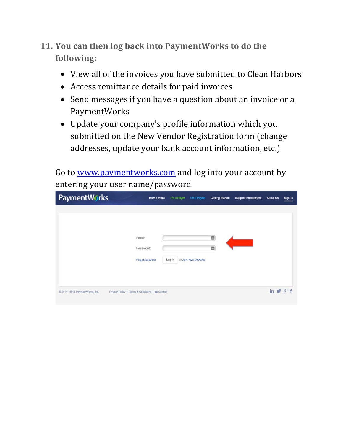- **11. You can then log back into PaymentWorks to do the** following:
	- View all of the invoices you have submitted to Clean Harbors
	- Access remittance details for paid invoices
	- Send messages if you have a question about an invoice or a PaymentWorks
	- Update your company's profile information which you submitted on the New Vendor Registration form (change addresses, update your bank account information, etc.)

Go to www.paymentworks.com and log into your account by entering your user name/password

| <b>PaymentWorks</b>                                                                  | How it works    | I'm a Payer | I'm a Payee          | <b>Getting Started</b> | <b>Supplier Enablement</b> | <b>About Us</b>              | Sign In |
|--------------------------------------------------------------------------------------|-----------------|-------------|----------------------|------------------------|----------------------------|------------------------------|---------|
|                                                                                      |                 |             |                      |                        |                            |                              |         |
| Email:                                                                               |                 |             |                      | 圜                      |                            |                              |         |
| Password:                                                                            |                 |             |                      | 圜                      |                            |                              |         |
|                                                                                      | Forgot password | Login       | or Join PaymentWorks |                        |                            |                              |         |
|                                                                                      |                 |             |                      |                        |                            |                              |         |
|                                                                                      |                 |             |                      |                        |                            |                              |         |
| Privacy Policy   Terms & Conditions   BE Contact<br>@ 2014 - 2016 PaymentWorks, Inc. |                 |             |                      |                        |                            | in $\vee$ $8$ <sup>+</sup> f |         |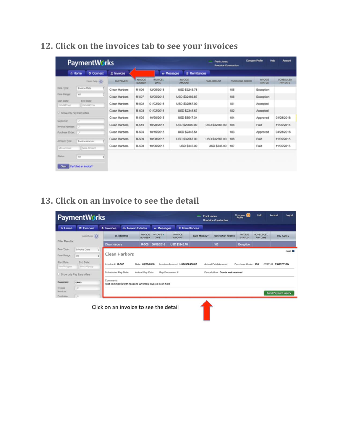## **12. Click on the invoices tab to see your invoices**

|                            | <b>O</b> Connect<br>n Home  | 1 Invoices      |                          | e Messages<br><b>E</b> Remittances |                                 |                |                |                                 |                                     |  |  |  |  |
|----------------------------|-----------------------------|-----------------|--------------------------|------------------------------------|---------------------------------|----------------|----------------|---------------------------------|-------------------------------------|--|--|--|--|
|                            | Need help (C)               | <b>CUSTOMER</b> | <b>INVOICE</b><br>NUMBER | <b>INVOICE.</b><br>DATE            | <b>INVOICE</b><br><b>AMOUNT</b> | PAID AMOUNT    | PURCHASE ORDER | <b>INVOICE</b><br><b>STATUS</b> | <b>SCHEDULED</b><br><b>PAY DATE</b> |  |  |  |  |
| Date Type:                 | <b>Invoice Date</b>         | Clean Harbors   | R-506                    | 12/05/2018                         | <b>USD \$3245.78</b>            |                | 105            | Exception                       |                                     |  |  |  |  |
| Date Range:                | All                         | Clean Harbors   | R-507                    | 12/05/2018                         | <b>USD \$32456.87</b>           |                | 106            | Exception                       |                                     |  |  |  |  |
| Start Date:<br>mmiddilyyyy | End Date:<br>mmiddilyyyy    | Clean Harbors   | R-502                    | 01/02/2016                         | USD \$32567.00                  |                | 101            | Accepted                        |                                     |  |  |  |  |
| Show only Pay Early offers |                             | Clean Harbors   | R-503                    | 01/02/2016                         | USD \$2345.67                   |                | 102            | Accepted                        |                                     |  |  |  |  |
| Customer:                  | w                           | Clean Harbors   | R-505                    | 10/30/2015                         | USD \$6547.34                   |                | 104            | Approved                        | 04/28/2016                          |  |  |  |  |
| Invoice Number             | 78                          | Clean Harbors   | R-510                    | 10/20/2015                         | USD \$20000.00                  | USD \$32567.00 | 108            | Paid                            | 11/05/2015                          |  |  |  |  |
| Purchase Order:            | œ                           | Clean Harbors   | R-504                    | 10/15/2015                         | <b>USD \$2345.54</b>            |                | 103            | Approved                        | 04/28/2016                          |  |  |  |  |
| Amount Type:               | ÷.<br><b>Invoice Amount</b> | Clean Harbors   | R-509                    | 10/08/2015                         | USD \$32567.00                  | USD \$32567.00 | 108            | Paid                            | 11/05/2015                          |  |  |  |  |
| Min Amount                 | Max Amount                  | Clean Harbors   | R-508                    | 10/06/2015                         | <b>USD \$345.00</b>             | USD \$345.00   | 107            | Paid                            | 11/05/2015                          |  |  |  |  |
| Status:                    | All                         |                 |                          |                                    |                                 |                |                |                                 |                                     |  |  |  |  |

### **13.** Click on an invoice to see the detail

|                           | <b>PaymentWorks</b>        |                                                                    |                                                                                                                                   |                                 | Frank Jones.<br>= | Roadside Construction          | Company                         | Help                         | Logout<br><b>Account</b>    |  |  |
|---------------------------|----------------------------|--------------------------------------------------------------------|-----------------------------------------------------------------------------------------------------------------------------------|---------------------------------|-------------------|--------------------------------|---------------------------------|------------------------------|-----------------------------|--|--|
| n Home                    | <b>O</b> Connect           | A News Updates<br>1 Invoices                                       | <b>B</b> Messages                                                                                                                 | Remittances                     |                   |                                |                                 |                              |                             |  |  |
|                           | Need help (C)              | <b>CUSTOMER</b>                                                    | <b>INVOICE</b><br>INVOICE -<br>DATE<br><b>NUMBER</b>                                                                              | <b>INVOICE</b><br><b>AMOUNT</b> | PAID AMOUNT       | PURCHASE ORDER                 | <b>INVOICE</b><br><b>STATUS</b> | <b>SCHEDULED</b><br>PAY DATE | <b>PAY EARLY</b>            |  |  |
| Filter Results:           |                            | <b>Clean Harbors</b>                                               | R-506<br>06/08/2016                                                                                                               | <b>USD \$3245.78</b>            |                   | 105                            | Exception                       |                              |                             |  |  |
| Date Type:                | <b>Invoice Date</b><br>:1  |                                                                    |                                                                                                                                   |                                 |                   |                                |                                 |                              | close X                     |  |  |
| Date Range:               | All                        | Clean Harbors                                                      |                                                                                                                                   |                                 |                   |                                |                                 |                              |                             |  |  |
| Start Date:<br>mmlddlyyyy | End Date:<br>mm/dd/yyyy    | Invoice # $R-507$                                                  | 06/08/2016<br>Invoice Amount USD \$32456.87<br><b>Actual Paid Amount</b><br><b>STATUS EXCEPTION</b><br>Date<br>Purchase Order 106 |                                 |                   |                                |                                 |                              |                             |  |  |
|                           | Show only Pay Early offers | <b>Scheduled Pay Date</b>                                          | <b>Actual Pay Date</b>                                                                                                            | Pay Document #                  |                   | Description Goods not received |                                 |                              |                             |  |  |
| Customer:                 | clean                      | Comments<br>Text comments with reasons why this invoice is on hold |                                                                                                                                   |                                 |                   |                                |                                 |                              |                             |  |  |
| Invoice<br>Number:        | ø                          |                                                                    |                                                                                                                                   |                                 |                   |                                |                                 |                              |                             |  |  |
| Purchase                  | ×                          |                                                                    |                                                                                                                                   |                                 |                   |                                |                                 |                              | <b>Send Payment Inquiry</b> |  |  |
|                           |                            | Click on an invoice to see the detail                              |                                                                                                                                   |                                 |                   |                                |                                 |                              |                             |  |  |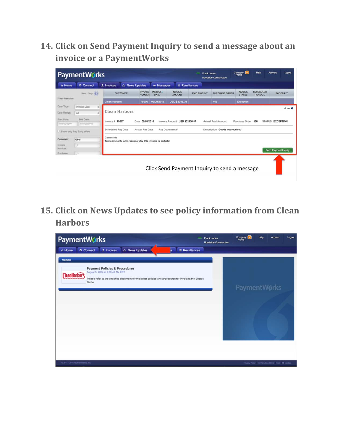14. Click on Send Payment Inquiry to send a message about an **invoice or a PaymentWorks** 

| Help<br>Company<br>Profile<br>=<br><b>PaymentWorks</b><br>Frank Jones.<br>Roadside Construction |                                                                                                                                |                                                                    |                                                                                                                                   |                          |                                 |             |                                              |                                 |                              |                             |  |  |
|-------------------------------------------------------------------------------------------------|--------------------------------------------------------------------------------------------------------------------------------|--------------------------------------------------------------------|-----------------------------------------------------------------------------------------------------------------------------------|--------------------------|---------------------------------|-------------|----------------------------------------------|---------------------------------|------------------------------|-----------------------------|--|--|
| n Home                                                                                          | <b>O</b> Connect                                                                                                               | A News Updates<br>1 Invoices                                       |                                                                                                                                   | <b>es</b> Messages       | <b>Remittances</b>              |             |                                              |                                 |                              |                             |  |  |
|                                                                                                 | Need help (C)                                                                                                                  | <b>CUSTOMER</b>                                                    | <b>INVOICE</b><br><b>NUMBER</b>                                                                                                   | <b>INVOICE -</b><br>DATE | <b>INVOICE</b><br><b>AMOUNT</b> | PAID AMOUNT | <b>PURCHASE ORDER</b>                        | <b>INVOICE</b><br><b>STATUS</b> | <b>SCHEDULED</b><br>PAY DATE | <b>PAY EARLY</b>            |  |  |
| Filter Results:                                                                                 |                                                                                                                                | <b>Clean Harbors</b>                                               | R-506                                                                                                                             | 06/08/2016               | <b>USD \$3245.78</b>            |             | 105                                          | <b>Exception</b>                |                              |                             |  |  |
| Date Type:                                                                                      | Invoice Date<br>$\frac{1}{2}$<br>close X                                                                                       |                                                                    |                                                                                                                                   |                          |                                 |             |                                              |                                 |                              |                             |  |  |
| Date Range:                                                                                     | ۵<br>All                                                                                                                       |                                                                    | Clean Harbors                                                                                                                     |                          |                                 |             |                                              |                                 |                              |                             |  |  |
| Start Date:<br>mm/dd/yyyy                                                                       | End Date:<br>mmlddiwyy                                                                                                         | Invoice # R-507                                                    | 06/08/2016<br>Invoice Amount USD \$32456.87<br><b>Actual Paid Amount</b><br>Purchase Order 106<br><b>STATUS EXCEPTION</b><br>Date |                          |                                 |             |                                              |                                 |                              |                             |  |  |
|                                                                                                 | Scheduled Pay Date<br><b>Actual Pay Date</b><br>Pay Document #<br>Description Goods not received<br>Show only Pay Early offers |                                                                    |                                                                                                                                   |                          |                                 |             |                                              |                                 |                              |                             |  |  |
| Customer:                                                                                       | clean                                                                                                                          | Comments<br>Text comments with reasons why this invoice is on hold |                                                                                                                                   |                          |                                 |             |                                              |                                 |                              |                             |  |  |
| Invoice<br>Number:                                                                              | ø                                                                                                                              |                                                                    |                                                                                                                                   |                          |                                 |             |                                              |                                 |                              |                             |  |  |
| Purchase                                                                                        | ×                                                                                                                              |                                                                    |                                                                                                                                   |                          |                                 |             |                                              |                                 |                              | <b>Send Payment Inquiry</b> |  |  |
|                                                                                                 |                                                                                                                                |                                                                    |                                                                                                                                   |                          |                                 |             | Click Send Payment Inquiry to send a message |                                 |                              |                             |  |  |

**15. Click on News Updates to see policy information from Clean Harbors**

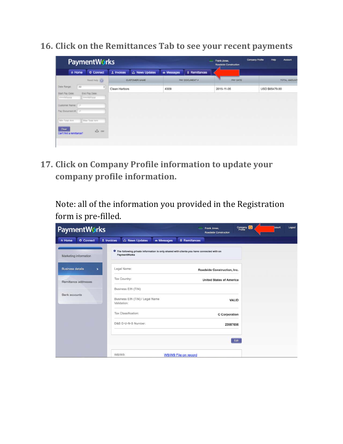**16. Click on the Remittances Tab to see your recent payments**

| <b>PaymentWorks</b>                                                    |               |                      |             |                       | Frank Jones<br><b>Roadside Construction</b> | Company Profile<br><b>Heb</b><br><b>Account</b> |
|------------------------------------------------------------------------|---------------|----------------------|-------------|-----------------------|---------------------------------------------|-------------------------------------------------|
| <b>O</b> Connect<br>n Home                                             | $1$ Invoices  | C News Updates       | es Messages | <b>E</b> Remittances  |                                             |                                                 |
| Need he's (C)                                                          |               | <b>CUSTOMER NAME</b> |             | <b>PAY DOCUMENT #</b> | PAY DATE                                    | TOTAL AMOUNT                                    |
| Date Range:<br>All<br>a)                                               | Clean Harbors |                      | 4309        |                       | 2015-11-05                                  | USD \$65479.00                                  |
| Start Pay Date:<br>End Pay Date:<br>mmiddlyyyy<br>immvad/yyyy          |               |                      |             |                       |                                             |                                                 |
| Customer Name:<br>Pay Document #                                       |               |                      |             |                       |                                             |                                                 |
| Max Total Arril<br>Min Total Arrit                                     |               |                      |             |                       |                                             |                                                 |
| <b>Clear</b><br>$\Leftrightarrow$ $\alpha$<br>Can't find a remittance? |               |                      |             |                       |                                             |                                                 |
|                                                                        |               |                      |             |                       |                                             |                                                 |

**17. Click on Company Profile information to update your** company profile information.

Note: all of the information you provided in the Registration form is pre-filled.

| <b>PaymentWorks</b>                       | Frank Jones<br>Roadside Construction                                                                              | Company<br>coount | Logout |
|-------------------------------------------|-------------------------------------------------------------------------------------------------------------------|-------------------|--------|
| O Connect<br>A Home                       | News Updates<br>$\pm$ Invoices<br><b>En Messages</b><br><b>E</b> Remittances                                      |                   |        |
| Marketing information                     | <b>O</b> The following private information is only shared with clients you have connected with on<br>PaymentWorks |                   |        |
| <b>Business details</b><br>$\overline{ }$ | Legal Name:<br>Roadside Construction, Inc.                                                                        |                   |        |
| Remittance addresses                      | Tax Country:<br><b>United States of America</b>                                                                   |                   |        |
|                                           | Business EIN (TIN):                                                                                               |                   |        |
| <b>Bank accounts</b>                      | Business EIN (TIN) / Legal Name<br><b>VALID</b><br>Validation:                                                    |                   |        |
|                                           | Tax Classification:<br>C Corporation                                                                              |                   |        |
|                                           | D&B D-U-N-S Number:<br>23987656                                                                                   |                   |        |
|                                           | Edit                                                                                                              |                   |        |
|                                           | W8/W9:<br>W8/W9 File on record                                                                                    |                   |        |